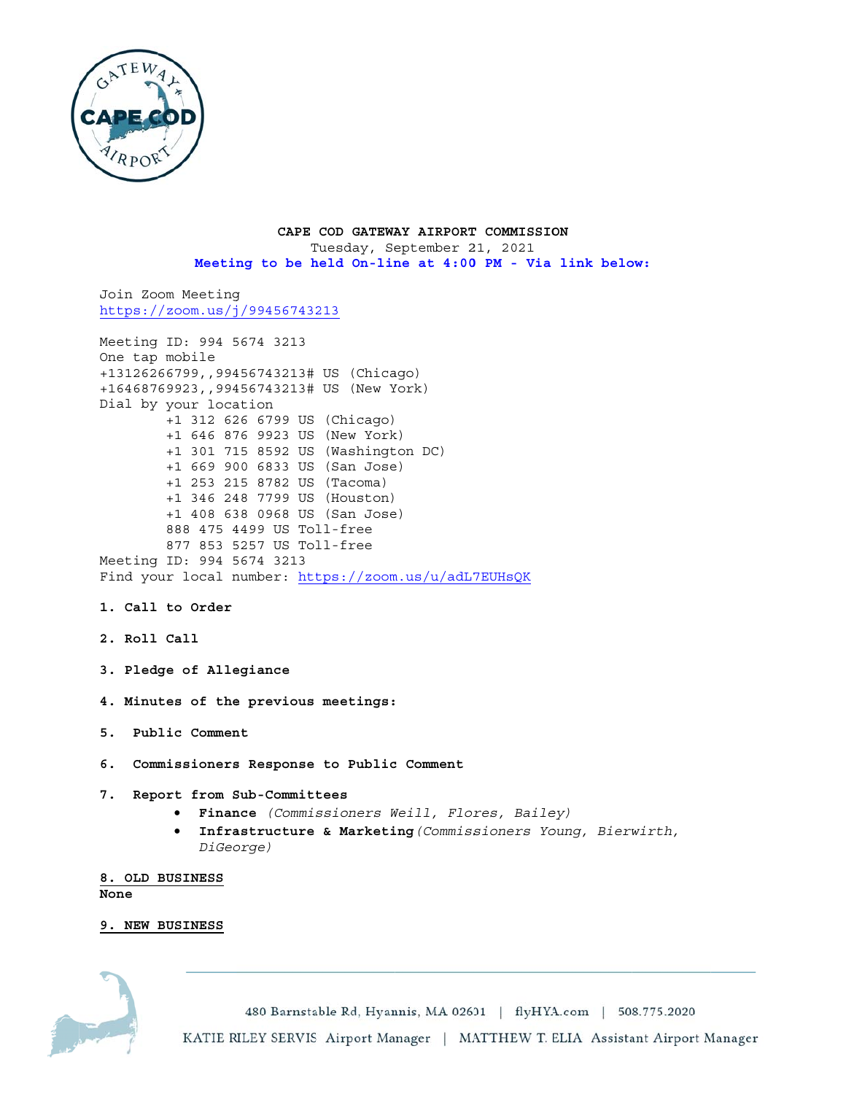

CAPE COD GATEWAY AIRPORT COMMISSION Tuesday, September 21, 2021 Meeting to be held On-line at 4:00 PM - Via link below:

Join Zoom Meeting https://zoom.us/j/99456743213

Meeting ID: 994 5674 3213 One tap mobile +13126266799,,99456743213# US (Chicago) +16468769923,,99456743213# US (New York) Dial by your location +1 312 626 6799 US (Chicago) +1 646 876 9923 US (New York) +1 301 715 8592 US (Washington DC) +1 669 900 6833 US (San Jose) +1 253 215 8782 US (Tacoma) +1 346 248 7799 US (Houston) +1 408 638 0968 US (San Jose) 888 475 4499 US Toll-free 877 853 5257 US Toll-free Meeting ID: 994 5674 3213 Find your local number: https://zoom.us/u/adL7EUHsQK

- 1. Call to Order
- 2. Roll Call
- 3. Pledge of Allegiance
- 4. Minutes of the previous meetings:
- 5. Public Comment
- 6. Commissioners Response to Public Comment
- 7. Report from Sub-Committees
	- · Finance (Commissioners Weill, Flores, Bailey)
	- **Infrastructure & Marketing (Commissioners Young, Bierwirth,** DiGeorge)

8. OLD BUSINESS None

### 9. NEW BUSINESS

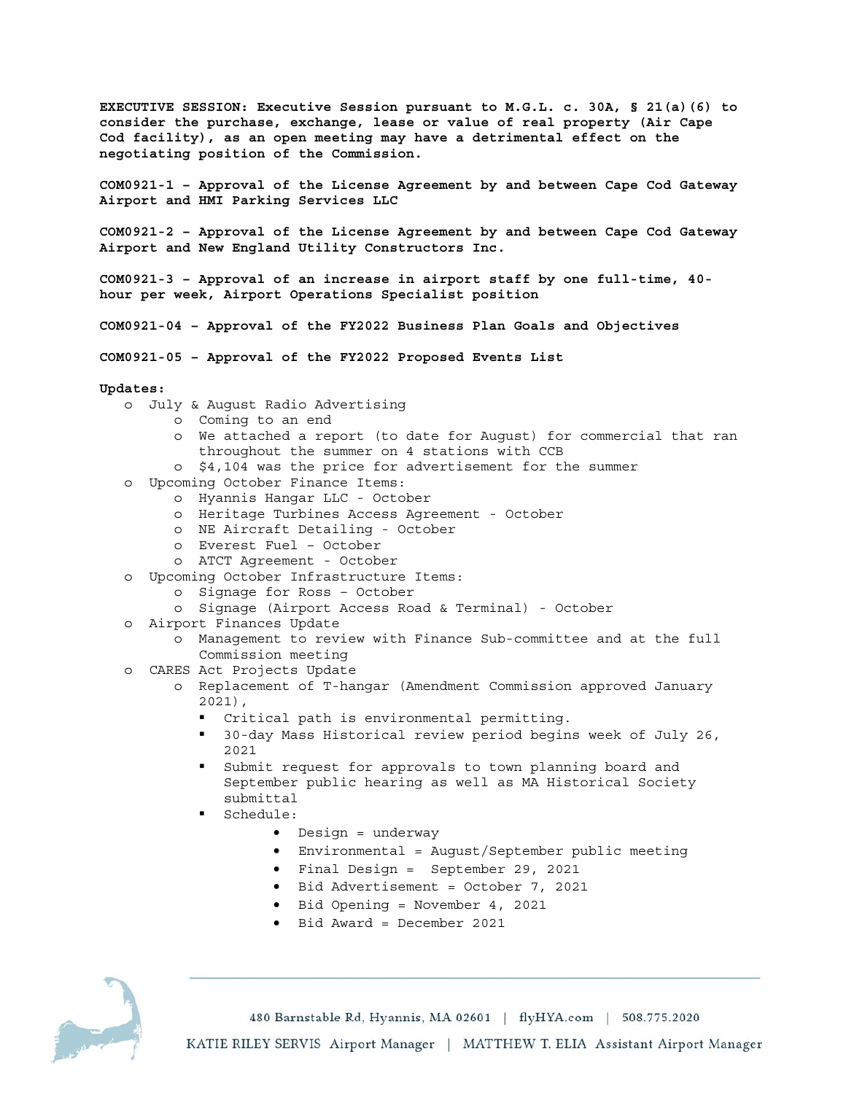**EXECUTIVE SESSION: Executive Session pursuant to M.G.L. c. 30A, § 21(a)(6) to consider the purchase, exchange, lease or value of real property (Air Cape Cod facility), as an open meeting may have a detrimental effect on the negotiating position of the Commission.** 

**COM0921-1 – Approval of the License Agreement by and between Cape Cod Gateway Airport and HMI Parking Services LLC** 

**COM0921-2 – Approval of the License Agreement by and between Cape Cod Gateway Airport and New England Utility Constructors Inc.** 

**COM0921-3 – Approval of an increase in airport staff by one full-time, 40 hour per week, Airport Operations Specialist position** 

- **COM0921-04 Approval of the FY2022 Business Plan Goals and Objectives**
- **COM0921-05 Approval of the FY2022 Proposed Events List**

#### **Updates:**

- o July & August Radio Advertising
	- o Coming to an end
		- o We attached a report (to date for August) for commercial that ran throughout the summer on 4 stations with CCB
		- o \$4,104 was the price for advertisement for the summer
- o Upcoming October Finance Items:
	- o Hyannis Hangar LLC October
	- o Heritage Turbines Access Agreement October
	- o NE Aircraft Detailing October
	- o Everest Fuel October
	- o ATCT Agreement October
- o Upcoming October Infrastructure Items:
	- o Signage for Ross October
	- o Signage (Airport Access Road & Terminal) October
- o Airport Finances Update
	- o Management to review with Finance Sub-committee and at the full Commission meeting
- o CARES Act Projects Update
	- o Replacement of T-hangar (Amendment Commission approved January 2021),
		- Critical path is environmental permitting.
		- 30-day Mass Historical review period begins week of July 26, 2021
		- Submit request for approvals to town planning board and September public hearing as well as MA Historical Society submittal
		- Schedule:
			- Design = underway
			- Environmental = August/September public meeting
			- Final Design = September 29, 2021
			- Bid Advertisement = October 7, 2021
			- Bid Opening = November 4, 2021
			- Bid Award = December 2021

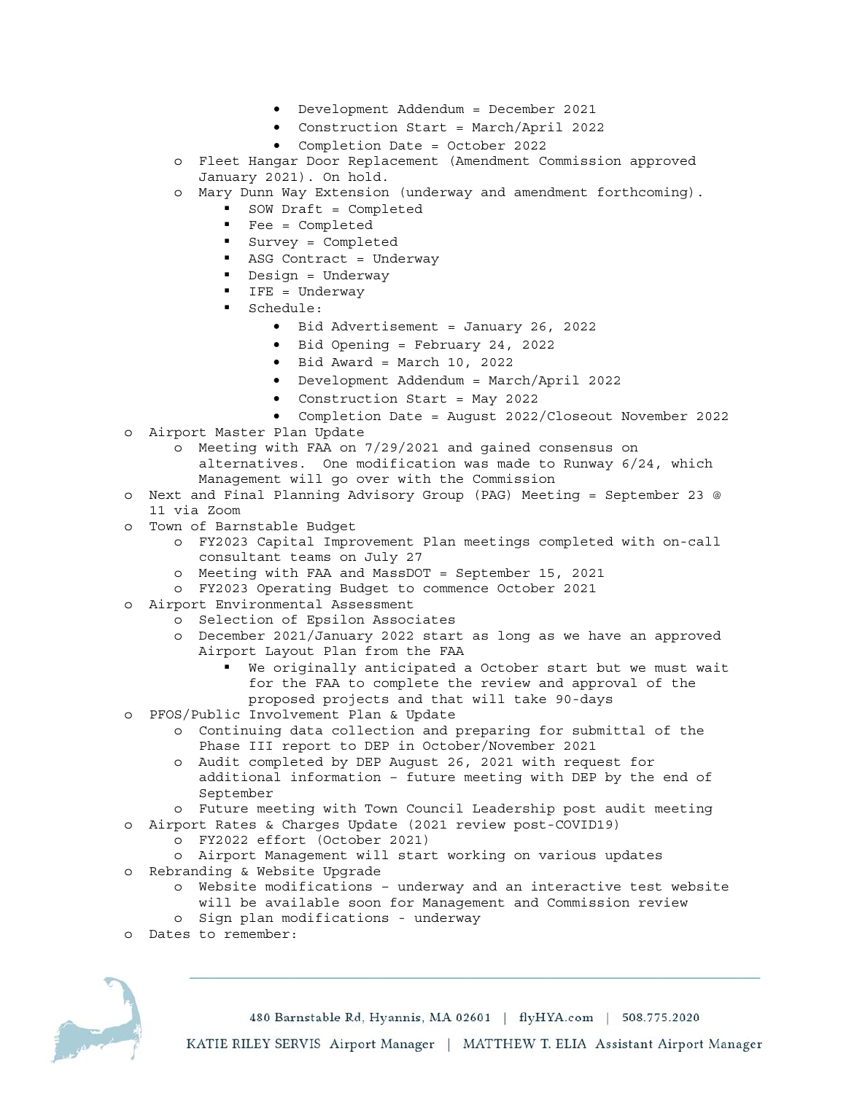- Development Addendum = December 2021
- Construction Start = March/April 2022
- Completion Date = October 2022
- o Fleet Hangar Door Replacement (Amendment Commission approved January 2021). On hold.
- o Mary Dunn Way Extension (underway and amendment forthcoming).
	- SOW Draft = Completed
	- Fee = Completed
	- Survey = Completed
	- ASG Contract = Underway
	- Design = Underway
	- IFE = Underway
	- Schedule:
		- Bid Advertisement = January 26, 2022
		- Bid Opening = February 24, 2022
		- Bid Award = March 10, 2022
		- Development Addendum = March/April 2022
		- Construction Start = May 2022
		- Completion Date = August 2022/Closeout November 2022
- o Airport Master Plan Update
	- o Meeting with FAA on 7/29/2021 and gained consensus on alternatives. One modification was made to Runway 6/24, which
		- Management will go over with the Commission
- o Next and Final Planning Advisory Group (PAG) Meeting = September 23 @ 11 via Zoom
- o Town of Barnstable Budget
	- o FY2023 Capital Improvement Plan meetings completed with on-call consultant teams on July 27
	- o Meeting with FAA and MassDOT = September 15, 2021
	- o FY2023 Operating Budget to commence October 2021
- o Airport Environmental Assessment
	- o Selection of Epsilon Associates
	- o December 2021/January 2022 start as long as we have an approved Airport Layout Plan from the FAA
		- We originally anticipated a October start but we must wait for the FAA to complete the review and approval of the proposed projects and that will take 90-days
- o PFOS/Public Involvement Plan & Update
	- o Continuing data collection and preparing for submittal of the Phase III report to DEP in October/November 2021
	- o Audit completed by DEP August 26, 2021 with request for additional information – future meeting with DEP by the end of September
	- o Future meeting with Town Council Leadership post audit meeting
- o Airport Rates & Charges Update (2021 review post-COVID19)
	- o FY2022 effort (October 2021)
	- o Airport Management will start working on various updates
- o Rebranding & Website Upgrade
	- o Website modifications underway and an interactive test website will be available soon for Management and Commission review
	- o Sign plan modifications underway
- o Dates to remember:

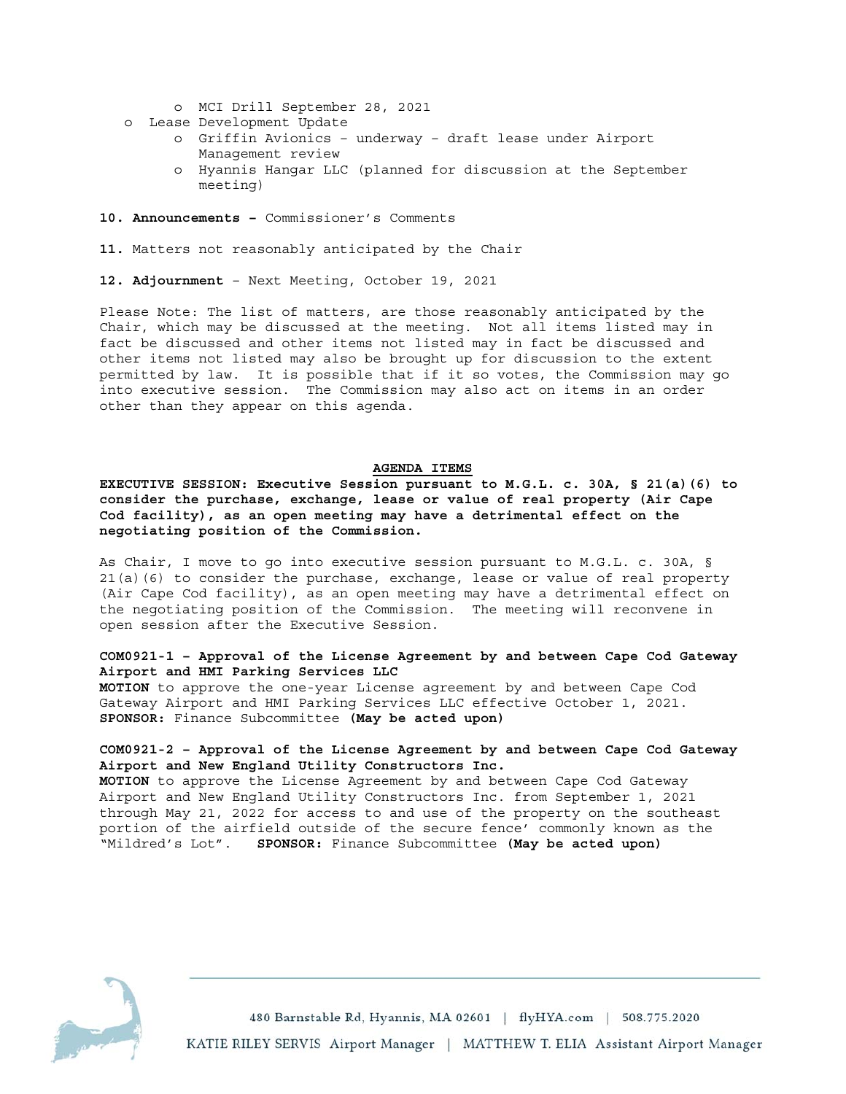- o MCI Drill September 28, 2021
- o Lease Development Update
	- o Griffin Avionics underway draft lease under Airport Management review
	- o Hyannis Hangar LLC (planned for discussion at the September meeting)
- **10. Announcements** Commissioner's Comments
- **11.** Matters not reasonably anticipated by the Chair
- **12. Adjournment** Next Meeting, October 19, 2021

Please Note: The list of matters, are those reasonably anticipated by the Chair, which may be discussed at the meeting. Not all items listed may in fact be discussed and other items not listed may in fact be discussed and other items not listed may also be brought up for discussion to the extent permitted by law. It is possible that if it so votes, the Commission may go into executive session. The Commission may also act on items in an order other than they appear on this agenda.

#### **AGENDA ITEMS**

**EXECUTIVE SESSION: Executive Session pursuant to M.G.L. c. 30A, § 21(a)(6) to consider the purchase, exchange, lease or value of real property (Air Cape Cod facility), as an open meeting may have a detrimental effect on the negotiating position of the Commission.** 

As Chair, I move to go into executive session pursuant to M.G.L. c. 30A, § 21(a)(6) to consider the purchase, exchange, lease or value of real property (Air Cape Cod facility), as an open meeting may have a detrimental effect on the negotiating position of the Commission. The meeting will reconvene in open session after the Executive Session.

## **COM0921-1 – Approval of the License Agreement by and between Cape Cod Gateway Airport and HMI Parking Services LLC**

**MOTION** to approve the one-year License agreement by and between Cape Cod Gateway Airport and HMI Parking Services LLC effective October 1, 2021. **SPONSOR:** Finance Subcommittee **(May be acted upon)** 

## **COM0921-2 – Approval of the License Agreement by and between Cape Cod Gateway Airport and New England Utility Constructors Inc.**

**MOTION** to approve the License Agreement by and between Cape Cod Gateway Airport and New England Utility Constructors Inc. from September 1, 2021 through May 21, 2022 for access to and use of the property on the southeast portion of the airfield outside of the secure fence' commonly known as the "Mildred's Lot". **SPONSOR:** Finance Subcommittee **(May be acted upon)**